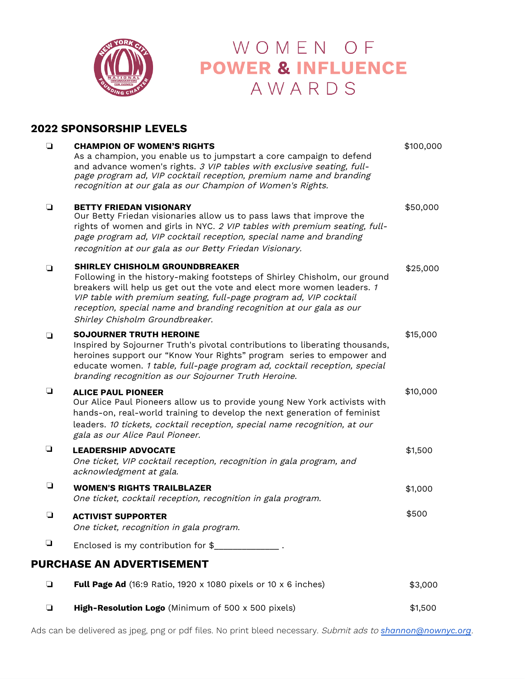

## WOMEN OF **POWER & INFLUENCE** AWARDS

## **2022 SPONSORSHIP LEVELS**

| $\Box$                           | <b>CHAMPION OF WOMEN'S RIGHTS</b><br>As a champion, you enable us to jumpstart a core campaign to defend<br>and advance women's rights. 3 VIP tables with exclusive seating, full-<br>page program ad, VIP cocktail reception, premium name and branding<br>recognition at our gala as our Champion of Women's Rights.                                                       | \$100,000 |  |  |  |  |
|----------------------------------|------------------------------------------------------------------------------------------------------------------------------------------------------------------------------------------------------------------------------------------------------------------------------------------------------------------------------------------------------------------------------|-----------|--|--|--|--|
| ❏                                | <b>BETTY FRIEDAN VISIONARY</b><br>Our Betty Friedan visionaries allow us to pass laws that improve the<br>rights of women and girls in NYC. 2 VIP tables with premium seating, full-<br>page program ad, VIP cocktail reception, special name and branding<br>recognition at our gala as our Betty Friedan Visionary.                                                        | \$50,000  |  |  |  |  |
| $\Box$                           | <b>SHIRLEY CHISHOLM GROUNDBREAKER</b><br>Following in the history-making footsteps of Shirley Chisholm, our ground<br>breakers will help us get out the vote and elect more women leaders. 1<br>VIP table with premium seating, full-page program ad, VIP cocktail<br>reception, special name and branding recognition at our gala as our<br>Shirley Chisholm Groundbreaker. | \$25,000  |  |  |  |  |
| $\Box$                           | <b>SOJOURNER TRUTH HEROINE</b><br>Inspired by Sojourner Truth's pivotal contributions to liberating thousands,<br>heroines support our "Know Your Rights" program series to empower and<br>educate women. 1 table, full-page program ad, cocktail reception, special<br>branding recognition as our Sojourner Truth Heroine.                                                 | \$15,000  |  |  |  |  |
| ❏                                | <b>ALICE PAUL PIONEER</b><br>Our Alice Paul Pioneers allow us to provide young New York activists with<br>hands-on, real-world training to develop the next generation of feminist<br>leaders. 10 tickets, cocktail reception, special name recognition, at our<br>gala as our Alice Paul Pioneer.                                                                           | \$10,000  |  |  |  |  |
| ❏                                | <b>LEADERSHIP ADVOCATE</b><br>One ticket, VIP cocktail reception, recognition in gala program, and<br>acknowledgment at gala.                                                                                                                                                                                                                                                | \$1,500   |  |  |  |  |
| ⊔                                | <b>WOMEN'S RIGHTS TRAILBLAZER</b><br>One ticket, cocktail reception, recognition in gala program.                                                                                                                                                                                                                                                                            | \$1,000   |  |  |  |  |
| $\Box$                           | <b>ACTIVIST SUPPORTER</b><br>One ticket, recognition in gala program.                                                                                                                                                                                                                                                                                                        | \$500     |  |  |  |  |
| ❏                                | Enclosed is my contribution for \$______________.                                                                                                                                                                                                                                                                                                                            |           |  |  |  |  |
| <b>PURCHASE AN ADVERTISEMENT</b> |                                                                                                                                                                                                                                                                                                                                                                              |           |  |  |  |  |
| $\Box$                           | Full Page Ad (16:9 Ratio, 1920 x 1080 pixels or 10 x 6 inches)                                                                                                                                                                                                                                                                                                               | \$3,000   |  |  |  |  |

❏ **High-Resolution Logo** (Minimum of 500 x 500 pixels) \$1,500

Ads can be delivered as jpeg, png or pdf files. No print bleed necessary. Submit ads to *[shannon@nownyc.org](mailto:shannon@nownyc.org)*.